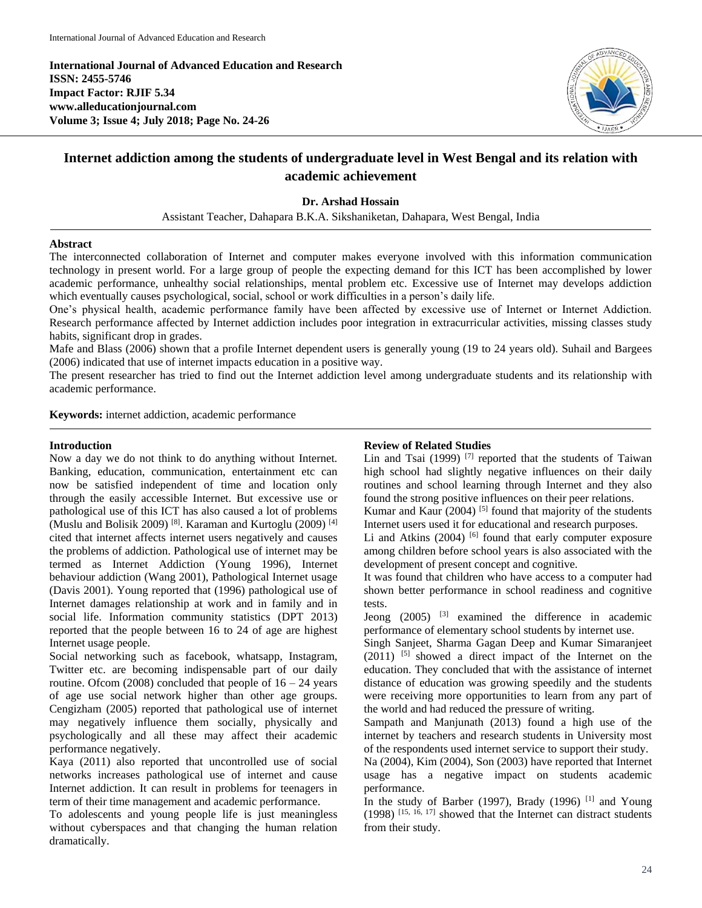**International Journal of Advanced Education and Research ISSN: 2455-5746 Impact Factor: RJIF 5.34 www.alleducationjournal.com Volume 3; Issue 4; July 2018; Page No. 24-26**



# **Internet addiction among the students of undergraduate level in West Bengal and its relation with academic achievement**

# **Dr. Arshad Hossain**

Assistant Teacher, Dahapara B.K.A. Sikshaniketan, Dahapara, West Bengal, India

## **Abstract**

The interconnected collaboration of Internet and computer makes everyone involved with this information communication technology in present world. For a large group of people the expecting demand for this ICT has been accomplished by lower academic performance, unhealthy social relationships, mental problem etc. Excessive use of Internet may develops addiction which eventually causes psychological, social, school or work difficulties in a person's daily life.

One's physical health, academic performance family have been affected by excessive use of Internet or Internet Addiction. Research performance affected by Internet addiction includes poor integration in extracurricular activities, missing classes study habits, significant drop in grades.

Mafe and Blass (2006) shown that a profile Internet dependent users is generally young (19 to 24 years old). Suhail and Bargees (2006) indicated that use of internet impacts education in a positive way.

The present researcher has tried to find out the Internet addiction level among undergraduate students and its relationship with academic performance.

**Keywords:** internet addiction, academic performance

## **Introduction**

Now a day we do not think to do anything without Internet. Banking, education, communication, entertainment etc can now be satisfied independent of time and location only through the easily accessible Internet. But excessive use or pathological use of this ICT has also caused a lot of problems (Muslu and Bolisik 2009)<sup>[8]</sup>. Karaman and Kurtoglu (2009)<sup>[4]</sup> cited that internet affects internet users negatively and causes the problems of addiction. Pathological use of internet may be termed as Internet Addiction (Young 1996), Internet behaviour addiction (Wang 2001), Pathological Internet usage (Davis 2001). Young reported that (1996) pathological use of Internet damages relationship at work and in family and in social life. Information community statistics (DPT 2013) reported that the people between 16 to 24 of age are highest Internet usage people.

Social networking such as facebook, whatsapp, Instagram, Twitter etc. are becoming indispensable part of our daily routine. Ofcom (2008) concluded that people of  $16 - 24$  years of age use social network higher than other age groups. Cengizham (2005) reported that pathological use of internet may negatively influence them socially, physically and psychologically and all these may affect their academic performance negatively.

Kaya (2011) also reported that uncontrolled use of social networks increases pathological use of internet and cause Internet addiction. It can result in problems for teenagers in term of their time management and academic performance.

To adolescents and young people life is just meaningless without cyberspaces and that changing the human relation dramatically.

## **Review of Related Studies**

Lin and Tsai  $(1999)$ <sup>[7]</sup> reported that the students of Taiwan high school had slightly negative influences on their daily routines and school learning through Internet and they also found the strong positive influences on their peer relations.

Kumar and Kaur  $(2004)$ <sup>[5]</sup> found that majority of the students Internet users used it for educational and research purposes.

Li and Atkins  $(2004)$  [6] found that early computer exposure among children before school years is also associated with the development of present concept and cognitive.

It was found that children who have access to a computer had shown better performance in school readiness and cognitive tests.

Jeong  $(2005)$  <sup>[3]</sup> examined the difference in academic performance of elementary school students by internet use.

Singh Sanjeet, Sharma Gagan Deep and Kumar Simaranjeet  $(2011)$  <sup>[5]</sup> showed a direct impact of the Internet on the education. They concluded that with the assistance of internet distance of education was growing speedily and the students were receiving more opportunities to learn from any part of the world and had reduced the pressure of writing.

Sampath and Manjunath (2013) found a high use of the internet by teachers and research students in University most of the respondents used internet service to support their study.

Na (2004), Kim (2004), Son (2003) have reported that Internet usage has a negative impact on students academic performance.

In the study of Barber (1997), Brady (1996)  $^{[1]}$  and Young (1998) [15, 16, 17] showed that the Internet can distract students from their study.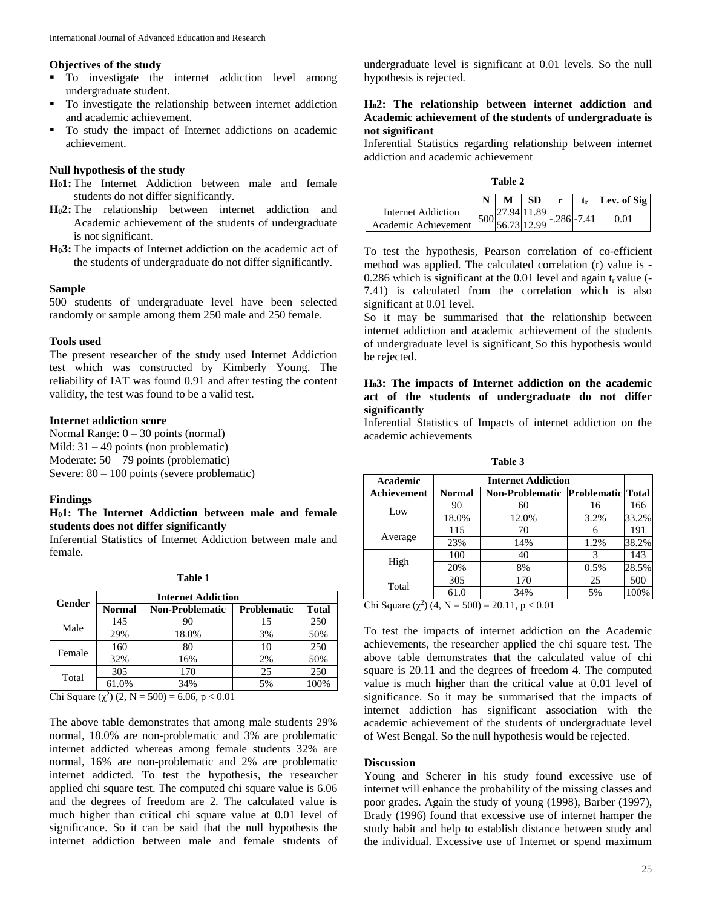#### **Objectives of the study**

- $\blacksquare$  To investigate the internet addiction level among undergraduate student.
- To investigate the relationship between internet addiction and academic achievement.
- To study the impact of Internet addictions on academic achievement.

# **Null hypothesis of the study**

- **H01:** The Internet Addiction between male and female students do not differ significantly.
- **H02:** The relationship between internet addiction and Academic achievement of the students of undergraduate is not significant.
- **H03:** The impacts of Internet addiction on the academic act of the students of undergraduate do not differ significantly.

#### **Sample**

500 students of undergraduate level have been selected randomly or sample among them 250 male and 250 female.

#### **Tools used**

The present researcher of the study used Internet Addiction test which was constructed by Kimberly Young. The reliability of IAT was found 0.91 and after testing the content validity, the test was found to be a valid test.

#### **Internet addiction score**

Normal Range: 0 – 30 points (normal) Mild: 31 – 49 points (non problematic) Moderate: 50 – 79 points (problematic) Severe: 80 – 100 points (severe problematic)

#### **Findings**

### **H01: The Internet Addiction between male and female students does not differ significantly**

Inferential Statistics of Internet Addiction between male and female.

| Gender | <b>Internet Addiction</b> |                        |                    |              |  |
|--------|---------------------------|------------------------|--------------------|--------------|--|
|        | <b>Normal</b>             | <b>Non-Problematic</b> | <b>Problematic</b> | <b>Total</b> |  |
| Male   | 145                       | 90                     | 15                 | 250          |  |
|        | 29%                       | 18.0%                  | 3%                 | 50%          |  |
| Female | 160                       | 80                     | 10                 | 250          |  |
|        | 32%                       | 16%                    | 2%                 | 50%          |  |
| Total  | 305                       | 170                    | 25                 | 250          |  |
|        | 61.0%                     | 34%                    | 5%                 | 100%         |  |

Chi Square  $(χ<sup>2</sup>)$   $(2, N = 500) = 6.06, p < 0.01$ 

The above table demonstrates that among male students 29% normal, 18.0% are non-problematic and 3% are problematic internet addicted whereas among female students 32% are normal, 16% are non-problematic and 2% are problematic internet addicted. To test the hypothesis, the researcher applied chi square test. The computed chi square value is 6.06 and the degrees of freedom are 2. The calculated value is much higher than critical chi square value at 0.01 level of significance. So it can be said that the null hypothesis the internet addiction between male and female students of

undergraduate level is significant at 0.01 levels. So the null hypothesis is rejected.

### **H02: The relationship between internet addiction and Academic achievement of the students of undergraduate is not significant**

Inferential Statistics regarding relationship between internet addiction and academic achievement

**Table 2**

|                      |  | <b>SD</b> |               | Lev. of Sig |
|----------------------|--|-----------|---------------|-------------|
| Internet Addiction   |  | .9411.89  | $-.286$ -7.41 | $\rm 0.01$  |
| Academic Achievement |  |           |               |             |

To test the hypothesis, Pearson correlation of co-efficient method was applied. The calculated correlation (r) value is - 0.286 which is significant at the 0.01 level and again  $t_r$  value (-7.41) is calculated from the correlation which is also significant at 0.01 level.

So it may be summarised that the relationship between internet addiction and academic achievement of the students of undergraduate level is significant. So this hypothesis would be rejected.

# **H03: The impacts of Internet addiction on the academic act of the students of undergraduate do not differ significantly**

Inferential Statistics of Impacts of internet addiction on the academic achievements

| <b>Table</b> |  |
|--------------|--|
|--------------|--|

| Academic                                              | <b>Internet Addiction</b> |                                              |      |       |  |  |  |
|-------------------------------------------------------|---------------------------|----------------------------------------------|------|-------|--|--|--|
| Achievement                                           | <b>Normal</b>             | <b>Non-Problematic   Problematic   Total</b> |      |       |  |  |  |
| Low                                                   | 90                        | 60                                           | 16   | 166   |  |  |  |
|                                                       | 18.0%                     | 12.0%                                        | 3.2% | 33.2% |  |  |  |
| Average                                               | 115                       | 70                                           | 6    | 191   |  |  |  |
|                                                       | 23%                       | 14%                                          | 1.2% | 38.2% |  |  |  |
| High                                                  | 100                       | 40                                           | 3    | 143   |  |  |  |
|                                                       | 20%                       | 8%                                           | 0.5% | 28.5% |  |  |  |
| Total                                                 | 305                       | 170                                          | 25   | 500   |  |  |  |
|                                                       | 61.0                      | 34%                                          | 5%   | 100%  |  |  |  |
| (2.21)<br>$\sim$ $\sim$<br>$F\Omega$<br>$0.11$ $0.01$ |                           |                                              |      |       |  |  |  |

Chi Square (χ<sup>2</sup>) (4, N = 500) = 20.11, p < 0.01

To test the impacts of internet addiction on the Academic achievements, the researcher applied the chi square test. The above table demonstrates that the calculated value of chi square is 20.11 and the degrees of freedom 4. The computed value is much higher than the critical value at 0.01 level of significance. So it may be summarised that the impacts of internet addiction has significant association with the academic achievement of the students of undergraduate level of West Bengal. So the null hypothesis would be rejected.

# **Discussion**

Young and Scherer in his study found excessive use of internet will enhance the probability of the missing classes and poor grades. Again the study of young (1998), Barber (1997), Brady (1996) found that excessive use of internet hamper the study habit and help to establish distance between study and the individual. Excessive use of Internet or spend maximum